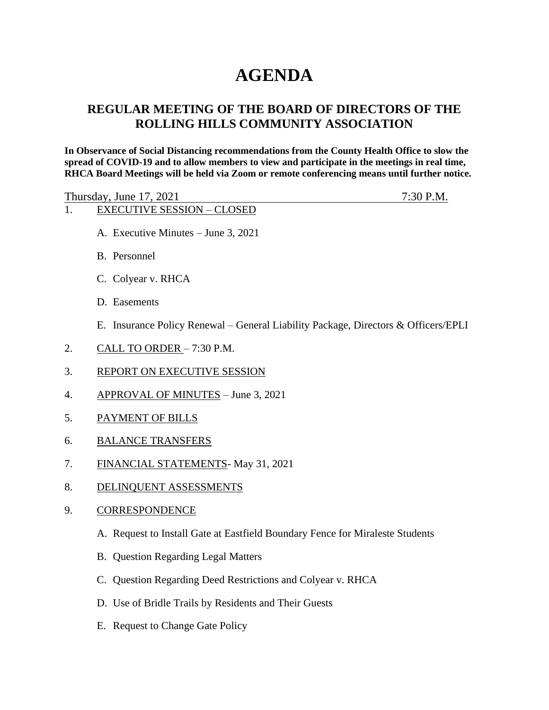# **AGENDA**

# **REGULAR MEETING OF THE BOARD OF DIRECTORS OF THE ROLLING HILLS COMMUNITY ASSOCIATION**

**In Observance of Social Distancing recommendations from the County Health Office to slow the spread of COVID-19 and to allow members to view and participate in the meetings in real time, RHCA Board Meetings will be held via Zoom or remote conferencing means until further notice.** 

Thursday, June 17, 2021 7:30 P.M.

- 1. EXECUTIVE SESSION CLOSED
- 
- A. Executive Minutes June 3, 2021
- B. Personnel
- C. Colyear v. RHCA
- D. Easements
- E. Insurance Policy Renewal General Liability Package, Directors & Officers/EPLI
- 2. CALL TO ORDER 7:30 P.M.
- 3. REPORT ON EXECUTIVE SESSION
- 4. APPROVAL OF MINUTES June 3, 2021
- 5. PAYMENT OF BILLS
- 6. BALANCE TRANSFERS
- 7. FINANCIAL STATEMENTS- May 31, 2021
- 8. DELINQUENT ASSESSMENTS
- 9. CORRESPONDENCE
	- A. Request to Install Gate at Eastfield Boundary Fence for Miraleste Students
	- B. Question Regarding Legal Matters
	- C. Question Regarding Deed Restrictions and Colyear v. RHCA
	- D. Use of Bridle Trails by Residents and Their Guests
	- E. Request to Change Gate Policy